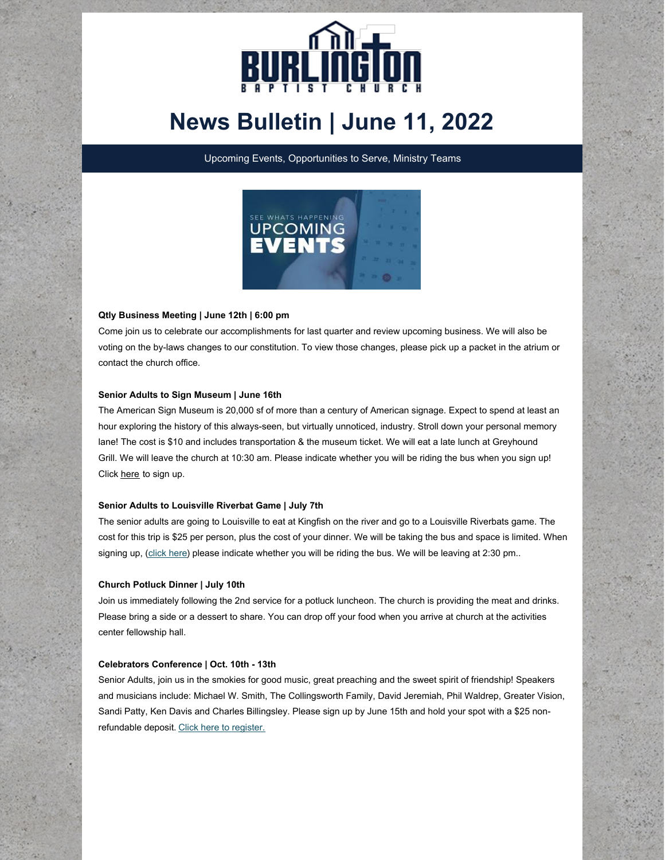

# **News Bulletin | June 11, 2022**

Upcoming Events, Opportunities to Serve, Ministry Teams



# **Qtly Business Meeting | June 12th | 6:00 pm**

Come join us to celebrate our accomplishments for last quarter and review upcoming business. We will also be voting on the by-laws changes to our constitution. To view those changes, please pick up a packet in the atrium or contact the church office.

## **Senior Adults to Sign Museum | June 16th**

The American Sign Museum is 20,000 sf of more than a century of American signage. Expect to spend at least an hour exploring the history of this always-seen, but virtually unnoticed, industry. Stroll down your personal memory lane! The cost is \$10 and includes transportation & the museum ticket. We will eat a late lunch at Greyhound Grill. We will leave the church at 10:30 am. Please indicate whether you will be riding the bus when you sign up! Click [here](https://onrealm.org/burlingtonbaptist/PublicRegistrations/Event?linkString=ZTNkYWRlN2YtOGZkYi00ODUyLWI5ZjItYWVhZDAxMzQ5MmU4) to sign up.

#### **Senior Adults to Louisville Riverbat Game | July 7th**

The senior adults are going to Louisville to eat at Kingfish on the river and go to a Louisville Riverbats game. The cost for this trip is \$25 per person, plus the cost of your dinner. We will be taking the bus and space is limited. When signing up, [\(click](https://onrealm.org/burlingtonbaptist/PublicRegistrations/Event?linkString=YWEzOGMzOWQtYzAxYi00NWNhLWI2Y2ItYWVhMTAxNDY5YjM0) here) please indicate whether you will be riding the bus. We will be leaving at 2:30 pm..

#### **Church Potluck Dinner | July 10th**

Join us immediately following the 2nd service for a potluck luncheon. The church is providing the meat and drinks. Please bring a side or a dessert to share. You can drop off your food when you arrive at church at the activities center fellowship hall.

#### **Celebrators Conference | Oct. 10th - 13th**

Senior Adults, join us in the smokies for good music, great preaching and the sweet spirit of friendship! Speakers and musicians include: Michael W. Smith, The Collingsworth Family, David Jeremiah, Phil Waldrep, Greater Vision, Sandi Patty, Ken Davis and Charles Billingsley. Please sign up by June 15th and hold your spot with a \$25 nonrefundable deposit. Click here to [register.](https://onrealm.org/burlingtonbaptist/PublicRegistrations/Event?linkString=YmJmY2JiYTktNTcxMS00MGZlLWIwNTUtYWU5OTAxNTUzZGM1)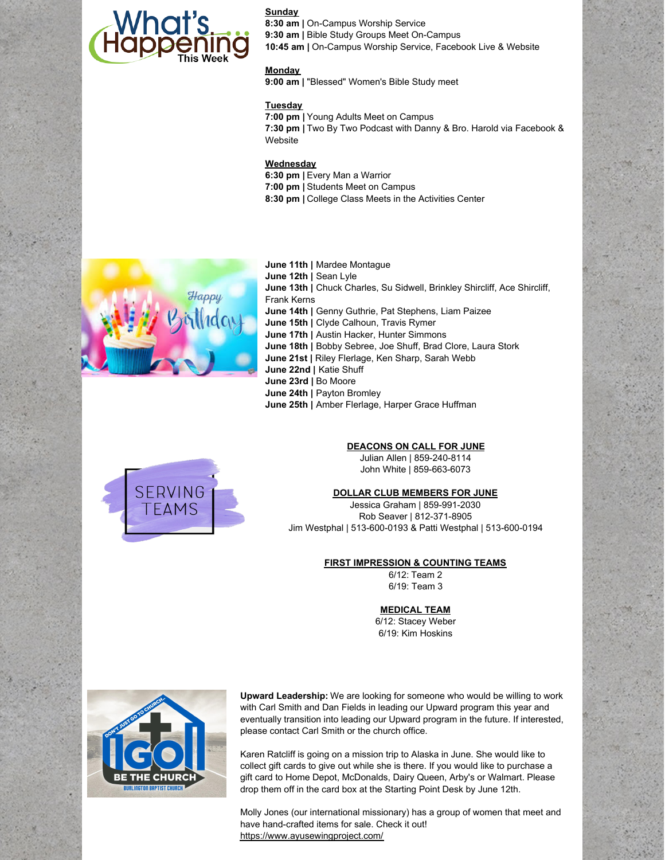

**Sunday 8:30 am |** On-Campus Worship Service **9:30 am |** Bible Study Groups Meet On-Campus **10:45 am |** On-Campus Worship Service, Facebook Live & Website

# **Monday**

**9:00 am |** "Blessed" Women's Bible Study meet

# **Tuesday**

**7:00 pm |** Young Adults Meet on Campus **7:30 pm |** Two By Two Podcast with Danny & Bro. Harold via Facebook & **Website** 

## **Wednesday**

**6:30 pm |** Every Man a Warrior **7:00 pm |** Students Meet on Campus **8:30 pm |** College Class Meets in the Activities Center



**June 11th |** Mardee Montague **June 12th |** Sean Lyle **June 13th |** Chuck Charles, Su Sidwell, Brinkley Shircliff, Ace Shircliff, Frank Kerns **June 14th |** Genny Guthrie, Pat Stephens, Liam Paizee **June 15th |** Clyde Calhoun, Travis Rymer **June 17th |** Austin Hacker, Hunter Simmons **June 18th |** Bobby Sebree, Joe Shuff, Brad Clore, Laura Stork **June 21st |** Riley Flerlage, Ken Sharp, Sarah Webb **June 22nd |** Katie Shuff **June 23rd |** Bo Moore **June 24th |** Payton Bromley **June 25th |** Amber Flerlage, Harper Grace Huffman



# **DEACONS ON CALL FOR JUNE**

Julian Allen | 859-240-8114 John White | 859-663-6073

#### **DOLLAR CLUB MEMBERS FOR JUNE**

Jessica Graham | 859-991-2030 Rob Seaver | 812-371-8905 Jim Westphal | 513-600-0193 & Patti Westphal | 513-600-0194

## **FIRST IMPRESSION & COUNTING TEAMS**

6/12: Team 2 6/19: Team 3

## **MEDICAL TEAM**

6/12: Stacey Weber 6/19: Kim Hoskins



**Upward Leadership:** We are looking for someone who would be willing to work with Carl Smith and Dan Fields in leading our Upward program this year and eventually transition into leading our Upward program in the future. If interested, please contact Carl Smith or the church office.

Karen Ratcliff is going on a mission trip to Alaska in June. She would like to collect gift cards to give out while she is there. If you would like to purchase a gift card to Home Depot, McDonalds, Dairy Queen, Arby's or Walmart. Please drop them off in the card box at the Starting Point Desk by June 12th.

Molly Jones (our international missionary) has a group of women that meet and have hand-crafted items for sale. Check it out! <https://www.ayusewingproject.com/>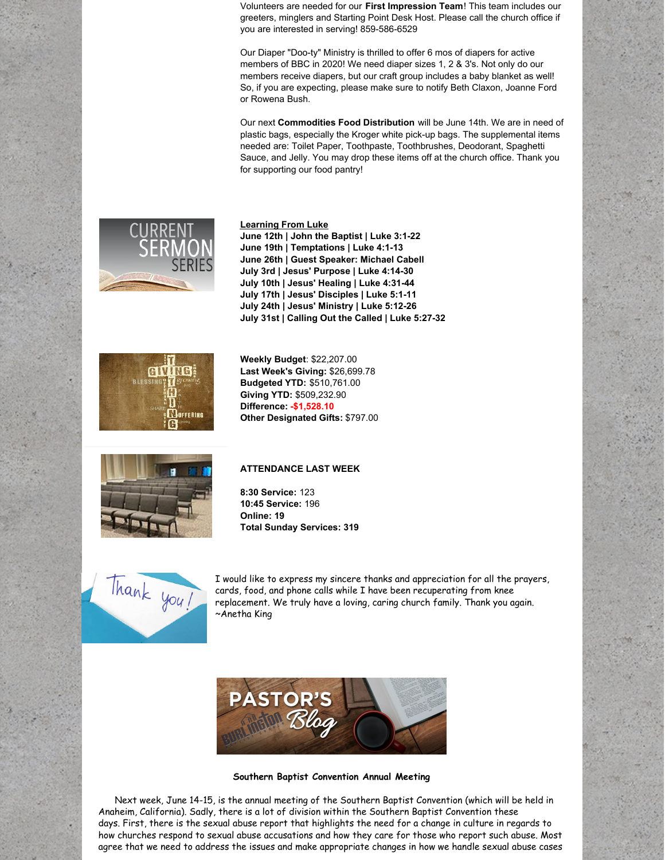Volunteers are needed for our **First Impression Team**! This team includes our greeters, minglers and Starting Point Desk Host. Please call the church office if you are interested in serving! 859-586-6529

Our Diaper "Doo-ty" Ministry is thrilled to offer 6 mos of diapers for active members of BBC in 2020! We need diaper sizes 1, 2 & 3's. Not only do our members receive diapers, but our craft group includes a baby blanket as well! So, if you are expecting, please make sure to notify Beth Claxon, Joanne Ford or Rowena Bush.

Our next **Commodities Food Distribution** will be June 14th. We are in need of plastic bags, especially the Kroger white pick-up bags. The supplemental items needed are: Toilet Paper, Toothpaste, Toothbrushes, Deodorant, Spaghetti Sauce, and Jelly. You may drop these items off at the church office. Thank you for supporting our food pantry!



NG **N**OFFERING



**June 12th | John the Baptist | Luke 3:1-22 June 19th | Temptations | Luke 4:1-13 June 26th | Guest Speaker: Michael Cabell July 3rd | Jesus' Purpose | Luke 4:14-30 July 10th | Jesus' Healing | Luke 4:31-44 July 17th | Jesus' Disciples | Luke 5:1-11**

**Last Week's Giving:** \$26,699.78 **Budgeted YTD:** \$510,761.00 **Giving YTD:** \$509,232.90 **Difference: -\$1,528.10 Other Designated Gifts:** \$797.00

**Learning From Luke**



# **ATTENDANCE LAST WEEK**

**8:30 Service:** 123 **10:45 Service:** 196 **Online: 19 Total Sunday Services: 319**



I would like to express my sincere thanks and appreciation for all the prayers, cards, food, and phone calls while I have been recuperating from knee replacement. We truly have a loving, caring church family. Thank you again. ~Anetha King



#### **Southern Baptist Convention Annual Meeting**

Next week, June 14-15, is the annual meeting of the Southern Baptist Convention (which will be held in Anaheim, California). Sadly, there is a lot of division within the Southern Baptist Convention these days. First, there is the sexual abuse report that highlights the need for a change in culture in regards to how churches respond to sexual abuse accusations and how they care for those who report such abuse. Most agree that we need to address the issues and make appropriate changes in how we handle sexual abuse cases